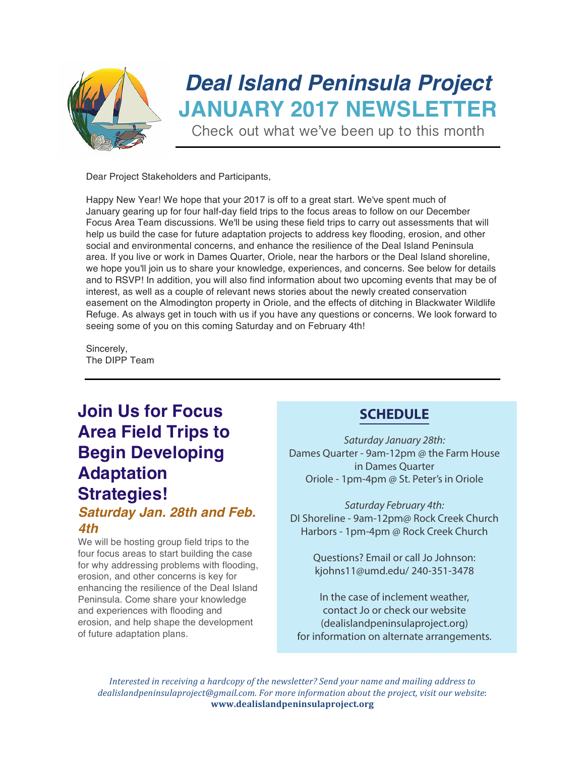

# *Deal Island Peninsula Project* **JANUARY 2017 NEWSLETTER**

Check out what we've been up to this month

Dear Project Stakeholders and Participants,

Happy New Year! We hope that your 2017 is off to a great start. We've spent much of January gearing up for four half-day field trips to the focus areas to follow on our December Focus Area Team discussions. We'll be using these field trips to carry out assessments that will help us build the case for future adaptation projects to address key flooding, erosion, and other social and environmental concerns, and enhance the resilience of the Deal Island Peninsula area. If you live or work in Dames Quarter, Oriole, near the harbors or the Deal Island shoreline, we hope you'll join us to share your knowledge, experiences, and concerns. See below for details and to RSVP! In addition, you will also find information about two upcoming events that may be of interest, as well as a couple of relevant news stories about the newly created conservation easement on the Almodington property in Oriole, and the effects of ditching in Blackwater Wildlife Refuge. As always get in touch with us if you have any questions or concerns. We look forward to seeing some of you on this coming Saturday and on February 4th!

Sincerely, The DIPP Team

### **Join Us for Focus Area Field Trips to Begin Developing Adaptation Strategies!** *Saturday Jan. 28th and Feb.*

#### *4th*

We will be hosting group field trips to the four focus areas to start building the case for why addressing problems with flooding, erosion, and other concerns is key for enhancing the resilience of the Deal Island Peninsula. Come share your knowledge and experiences with flooding and erosion, and help shape the development of future adaptation plans.

### **SCHEDULE**

Saturday January 28th: Dames Quarter - 9am-12pm @ the Farm House in Dames Quarter Oriole - 1pm-4pm @ St. Peter's in Oriole

Saturday February 4th: DI Shoreline - 9am-12pm@ Rock Creek Church Harbors - 1pm-4pm @ Rock Creek Church

> Questions? Email or call Jo Johnson: kjohns11@umd.edu/ 240-351-3478

In the case of inclement weather, contact Jo or check our website (dealislandpeninsulaproject.org) for information on alternate arrangements.

*Interested in receiving a hardcopy of the newsletter?* Send your name and mailing address to dealislandpeninsulaproject@gmail.com. For more information about the project, visit our website: www.dealislandpeninsulaproject.org